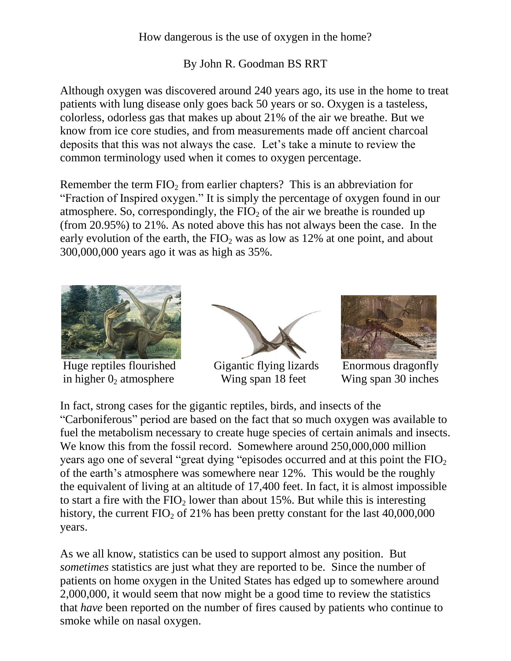## By John R. Goodman BS RRT

Although oxygen was discovered around 240 years ago, its use in the home to treat patients with lung disease only goes back 50 years or so. Oxygen is a tasteless, colorless, odorless gas that makes up about 21% of the air we breathe. But we know from ice core studies, and from measurements made off ancient charcoal deposits that this was not always the case. Let's take a minute to review the common terminology used when it comes to oxygen percentage.

Remember the term  $FIO<sub>2</sub>$  from earlier chapters? This is an abbreviation for "Fraction of Inspired oxygen." It is simply the percentage of oxygen found in our atmosphere. So, correspondingly, the  $FIO<sub>2</sub>$  of the air we breathe is rounded up (from 20.95%) to 21%. As noted above this has not always been the case. In the early evolution of the earth, the  $FIO<sub>2</sub>$  was as low as 12% at one point, and about 300,000,000 years ago it was as high as 35%.



Huge reptiles flourished Gigantic flying lizards Enormous dragonfly in higher  $0<sub>2</sub>$  atmosphere Wing span 18 feet Wing span 30 inches





In fact, strong cases for the gigantic reptiles, birds, and insects of the "Carboniferous" period are based on the fact that so much oxygen was available to fuel the metabolism necessary to create huge species of certain animals and insects. We know this from the fossil record. Somewhere around 250,000,000 million years ago one of several "great dying "episodes occurred and at this point the  $FIO<sub>2</sub>$ of the earth's atmosphere was somewhere near 12%. This would be the roughly the equivalent of living at an altitude of 17,400 feet. In fact, it is almost impossible to start a fire with the  $FIO_2$  lower than about 15%. But while this is interesting history, the current  $FIO<sub>2</sub>$  of 21% has been pretty constant for the last 40,000,000 years.

As we all know, statistics can be used to support almost any position. But *sometimes* statistics are just what they are reported to be. Since the number of patients on home oxygen in the United States has edged up to somewhere around 2,000,000, it would seem that now might be a good time to review the statistics that *have* been reported on the number of fires caused by patients who continue to smoke while on nasal oxygen.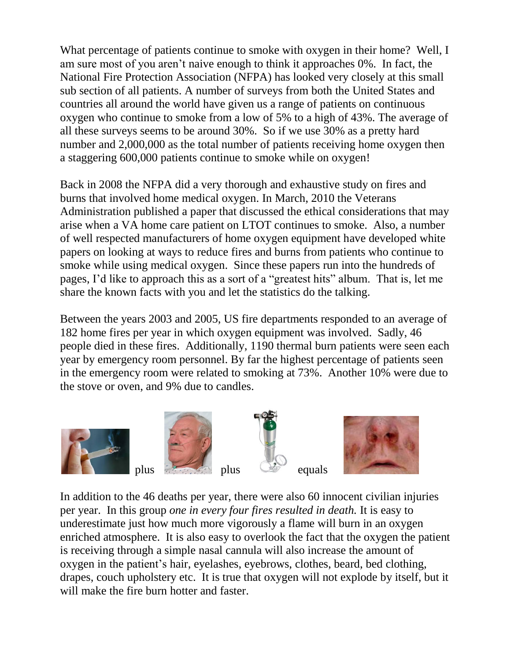What percentage of patients continue to smoke with oxygen in their home? Well, I am sure most of you aren't naive enough to think it approaches 0%. In fact, the National Fire Protection Association (NFPA) has looked very closely at this small sub section of all patients. A number of surveys from both the United States and countries all around the world have given us a range of patients on continuous oxygen who continue to smoke from a low of 5% to a high of 43%. The average of all these surveys seems to be around 30%. So if we use 30% as a pretty hard number and 2,000,000 as the total number of patients receiving home oxygen then a staggering 600,000 patients continue to smoke while on oxygen!

Back in 2008 the NFPA did a very thorough and exhaustive study on fires and burns that involved home medical oxygen. In March, 2010 the Veterans Administration published a paper that discussed the ethical considerations that may arise when a VA home care patient on LTOT continues to smoke. Also, a number of well respected manufacturers of home oxygen equipment have developed white papers on looking at ways to reduce fires and burns from patients who continue to smoke while using medical oxygen. Since these papers run into the hundreds of pages, I'd like to approach this as a sort of a "greatest hits" album. That is, let me share the known facts with you and let the statistics do the talking.

Between the years 2003 and 2005, US fire departments responded to an average of 182 home fires per year in which oxygen equipment was involved. Sadly, 46 people died in these fires. Additionally, 1190 thermal burn patients were seen each year by emergency room personnel. By far the highest percentage of patients seen in the emergency room were related to smoking at 73%. Another 10% were due to the stove or oven, and 9% due to candles.



In addition to the 46 deaths per year, there were also 60 innocent civilian injuries per year. In this group *one in every four fires resulted in death.* It is easy to underestimate just how much more vigorously a flame will burn in an oxygen enriched atmosphere. It is also easy to overlook the fact that the oxygen the patient is receiving through a simple nasal cannula will also increase the amount of oxygen in the patient's hair, eyelashes, eyebrows, clothes, beard, bed clothing, drapes, couch upholstery etc. It is true that oxygen will not explode by itself, but it will make the fire burn hotter and faster.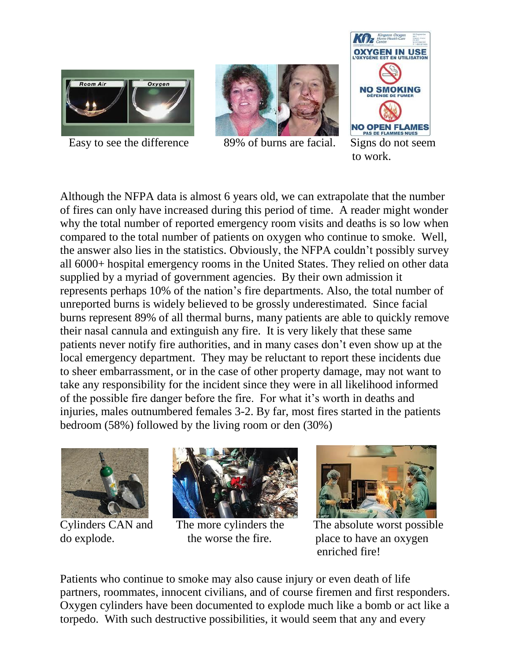

Easy to see the difference 89% of burns are facial. Signs do not seem





Although the NFPA data is almost 6 years old, we can extrapolate that the number of fires can only have increased during this period of time. A reader might wonder why the total number of reported emergency room visits and deaths is so low when compared to the total number of patients on oxygen who continue to smoke. Well, the answer also lies in the statistics. Obviously, the NFPA couldn't possibly survey all 6000+ hospital emergency rooms in the United States. They relied on other data supplied by a myriad of government agencies. By their own admission it represents perhaps 10% of the nation's fire departments. Also, the total number of unreported burns is widely believed to be grossly underestimated. Since facial burns represent 89% of all thermal burns, many patients are able to quickly remove their nasal cannula and extinguish any fire. It is very likely that these same patients never notify fire authorities, and in many cases don't even show up at the local emergency department. They may be reluctant to report these incidents due to sheer embarrassment, or in the case of other property damage, may not want to take any responsibility for the incident since they were in all likelihood informed of the possible fire danger before the fire. For what it's worth in deaths and injuries, males outnumbered females 3-2. By far, most fires started in the patients bedroom (58%) followed by the living room or den (30%)







Cylinders CAN and The more cylinders the The absolute worst possible do explode. the worse the fire. place to have an oxygen enriched fire!

Patients who continue to smoke may also cause injury or even death of life partners, roommates, innocent civilians, and of course firemen and first responders. Oxygen cylinders have been documented to explode much like a bomb or act like a torpedo. With such destructive possibilities, it would seem that any and every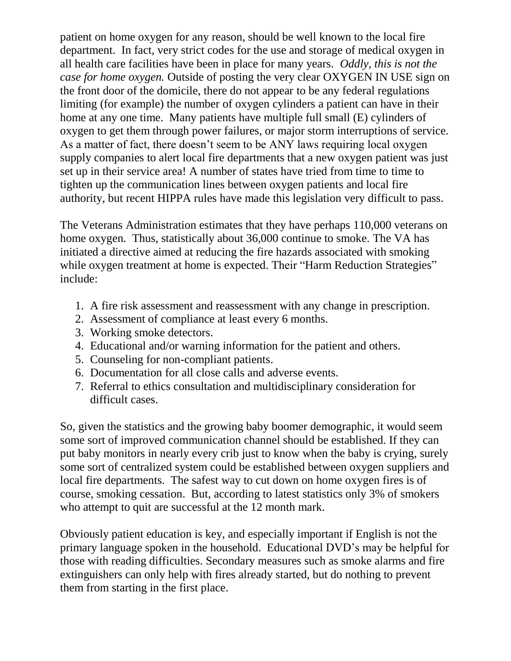patient on home oxygen for any reason, should be well known to the local fire department. In fact, very strict codes for the use and storage of medical oxygen in all health care facilities have been in place for many years. *Oddly, this is not the case for home oxygen.* Outside of posting the very clear OXYGEN IN USE sign on the front door of the domicile, there do not appear to be any federal regulations limiting (for example) the number of oxygen cylinders a patient can have in their home at any one time. Many patients have multiple full small (E) cylinders of oxygen to get them through power failures, or major storm interruptions of service. As a matter of fact, there doesn't seem to be ANY laws requiring local oxygen supply companies to alert local fire departments that a new oxygen patient was just set up in their service area! A number of states have tried from time to time to tighten up the communication lines between oxygen patients and local fire authority, but recent HIPPA rules have made this legislation very difficult to pass.

The Veterans Administration estimates that they have perhaps 110,000 veterans on home oxygen. Thus, statistically about 36,000 continue to smoke. The VA has initiated a directive aimed at reducing the fire hazards associated with smoking while oxygen treatment at home is expected. Their "Harm Reduction Strategies" include:

- 1. A fire risk assessment and reassessment with any change in prescription.
- 2. Assessment of compliance at least every 6 months.
- 3. Working smoke detectors.
- 4. Educational and/or warning information for the patient and others.
- 5. Counseling for non-compliant patients.
- 6. Documentation for all close calls and adverse events.
- 7. Referral to ethics consultation and multidisciplinary consideration for difficult cases.

So, given the statistics and the growing baby boomer demographic, it would seem some sort of improved communication channel should be established. If they can put baby monitors in nearly every crib just to know when the baby is crying, surely some sort of centralized system could be established between oxygen suppliers and local fire departments. The safest way to cut down on home oxygen fires is of course, smoking cessation. But, according to latest statistics only 3% of smokers who attempt to quit are successful at the 12 month mark.

Obviously patient education is key, and especially important if English is not the primary language spoken in the household. Educational DVD's may be helpful for those with reading difficulties. Secondary measures such as smoke alarms and fire extinguishers can only help with fires already started, but do nothing to prevent them from starting in the first place.